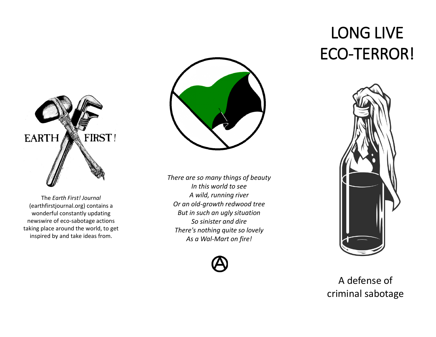

The *Earth First! Journal*  (earthfirstjournal.org) contains a wonderful constantly updating newswire of eco-sabotage actions taking place around the world, to get inspired by and take ideas from.



*There are so many things of beauty In this world to see A wild, running river Or an old-growth redwood tree But in such an ugly situation So sinister and dire There's nothing quite so lovely As a Wal-Mart on fire!*



## LONG LIVE ECO-TERROR!



## A defense of criminal sabotage